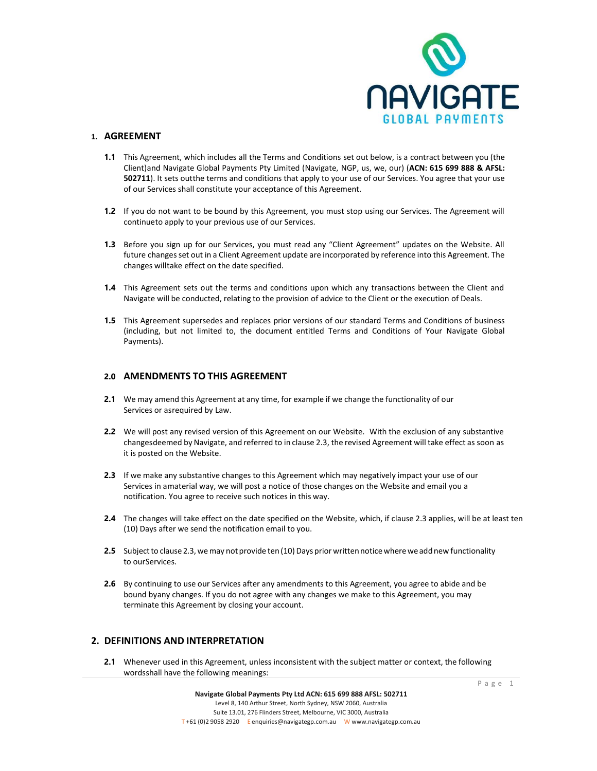

## **1. AGREEMENT**

- **1.1** This Agreement, which includes all the Terms and Conditions set out below, is a contract between you (the Client)and Navigate Global Payments Pty Limited (Navigate, NGP, us, we, our) (**ACN: 615 699 888 & AFSL: 502711**). It sets outthe terms and conditions that apply to your use of our Services. You agree that your use of our Services shall constitute your acceptance of this Agreement.
- **1.2** If you do not want to be bound by this Agreement, you must stop using our Services. The Agreement will continueto apply to your previous use of our Services.
- **1.3** Before you sign up for our Services, you must read any "Client Agreement" updates on the Website. All future changesset out in a Client Agreement update are incorporated by reference into this Agreement. The changes willtake effect on the date specified.
- **1.4** This Agreement sets out the terms and conditions upon which any transactions between the Client and Navigate will be conducted, relating to the provision of advice to the Client or the execution of Deals.
- **1.5** This Agreement supersedes and replaces prior versions of our standard Terms and Conditions of business (including, but not limited to, the document entitled Terms and Conditions of Your Navigate Global Payments).

### **2.0 AMENDMENTS TO THIS AGREEMENT**

- **2.1** We may amend this Agreement at any time, for example if we change the functionality of our Services or asrequired by Law.
- **2.2** We will post any revised version of this Agreement on our Website. With the exclusion of any substantive changesdeemed by Navigate, and referred to in clause 2.3, the revised Agreement will take effect as soon as it is posted on the Website.
- **2.3** If we make any substantive changes to this Agreement which may negatively impact your use of our Services in amaterial way, we will post a notice of those changes on the Website and email you a notification. You agree to receive such notices in this way.
- **2.4** The changes will take effect on the date specified on the Website, which, if clause 2.3 applies, will be at least ten (10) Days after we send the notification email to you.
- **2.5** Subject to clause 2.3, we may not provide ten (10) Days prior written notice where we add new functionality to ourServices.
- **2.6** By continuing to use our Services after any amendments to this Agreement, you agree to abide and be bound byany changes. If you do not agree with any changes we make to this Agreement, you may terminate this Agreement by closing your account.

## **2. DEFINITIONS AND INTERPRETATION**

**2.1** Whenever used in this Agreement, unless inconsistent with the subject matter or context, the following wordsshall have the following meanings: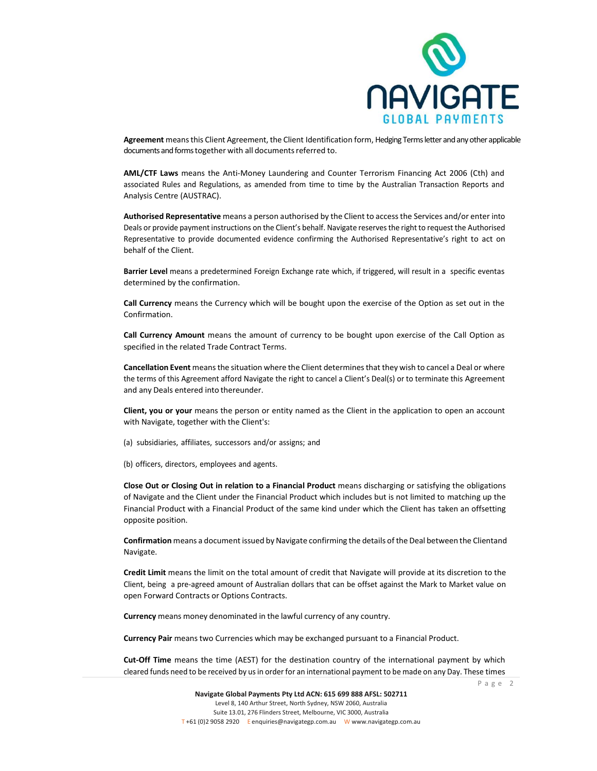

**Agreement** meansthis Client Agreement, the Client Identification form, Hedging Terms letter and any other applicable documents and forms together with all documents referred to.

**AML/CTF Laws** means the Anti-Money Laundering and Counter Terrorism Financing Act 2006 (Cth) and associated Rules and Regulations, as amended from time to time by the Australian Transaction Reports and Analysis Centre (AUSTRAC).

**Authorised Representative** means a person authorised by the Client to access the Services and/or enter into Deals or provide payment instructions on the Client's behalf. Navigate reserves the right to request the Authorised Representative to provide documented evidence confirming the Authorised Representative's right to act on behalf of the Client.

**Barrier Level** means a predetermined Foreign Exchange rate which, if triggered, will result in a specific eventas determined by the confirmation.

**Call Currency** means the Currency which will be bought upon the exercise of the Option as set out in the Confirmation.

**Call Currency Amount** means the amount of currency to be bought upon exercise of the Call Option as specified in the related Trade Contract Terms.

**Cancellation Event** means the situation where the Client determines that they wish to cancel a Deal or where the terms of this Agreement afford Navigate the right to cancel a Client's Deal(s) or to terminate this Agreement and any Deals entered into thereunder.

**Client, you or your** means the person or entity named as the Client in the application to open an account with Navigate, together with the Client's:

(a) subsidiaries, affiliates, successors and/or assigns; and

(b) officers, directors, employees and agents.

**Close Out or Closing Out in relation to a Financial Product** means discharging or satisfying the obligations of Navigate and the Client under the Financial Product which includes but is not limited to matching up the Financial Product with a Financial Product of the same kind under which the Client has taken an offsetting opposite position.

**Confirmation** means a document issued by Navigate confirming the details of the Deal between the Clientand Navigate.

**Credit Limit** means the limit on the total amount of credit that Navigate will provide at its discretion to the Client, being a pre-agreed amount of Australian dollars that can be offset against the Mark to Market value on open Forward Contracts or Options Contracts.

**Currency** means money denominated in the lawful currency of any country.

**Currency Pair** means two Currencies which may be exchanged pursuant to a Financial Product.

**Cut-Off Time** means the time (AEST) for the destination country of the international payment by which cleared funds need to be received by us in order for an international payment to be made on any Day. These times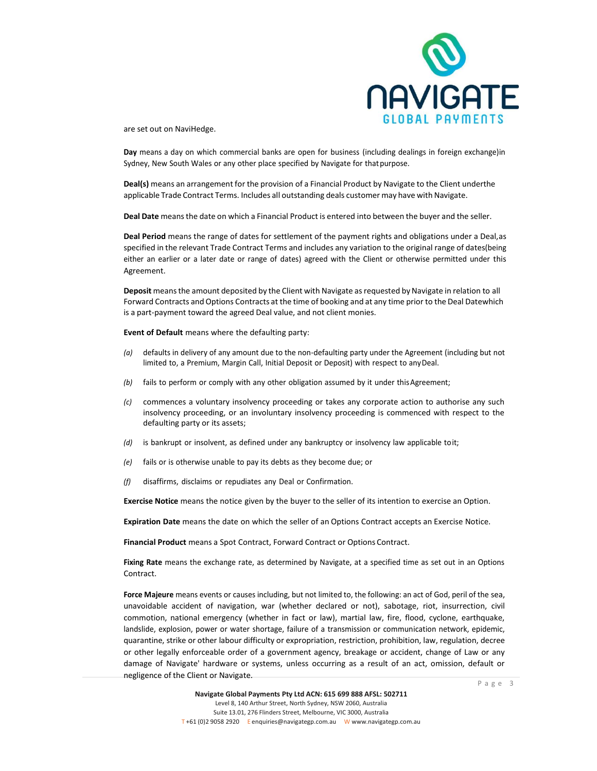

are set out on NaviHedge.

**Day** means a day on which commercial banks are open for business (including dealings in foreign exchange)in Sydney, New South Wales or any other place specified by Navigate for thatpurpose.

**Deal(s)** means an arrangement for the provision of a Financial Product by Navigate to the Client underthe applicable Trade Contract Terms. Includes all outstanding deals customer may have with Navigate.

**Deal Date** meansthe date on which a Financial Product is entered into between the buyer and the seller.

**Deal Period** means the range of dates for settlement of the payment rights and obligations under a Deal,as specified in the relevant Trade Contract Terms and includes any variation to the original range of dates(being either an earlier or a later date or range of dates) agreed with the Client or otherwise permitted under this Agreement.

Deposit means the amount deposited by the Client with Navigate as requested by Navigate in relation to all Forward Contracts and Options Contracts at the time of booking and at any time prior to the Deal Datewhich is a part-payment toward the agreed Deal value, and not client monies.

**Event of Default** means where the defaulting party:

- *(a)* defaults in delivery of any amount due to the non-defaulting party under the Agreement (including but not limited to, a Premium, Margin Call, Initial Deposit or Deposit) with respect to anyDeal.
- *(b)* fails to perform or comply with any other obligation assumed by it under this Agreement;
- *(c)* commences a voluntary insolvency proceeding or takes any corporate action to authorise any such insolvency proceeding, or an involuntary insolvency proceeding is commenced with respect to the defaulting party or its assets;
- *(d)* is bankrupt or insolvent, as defined under any bankruptcy or insolvency law applicable toit;
- *(e)* fails or is otherwise unable to pay its debts as they become due; or
- *(f)* disaffirms, disclaims or repudiates any Deal or Confirmation.

**Exercise Notice** means the notice given by the buyer to the seller of its intention to exercise an Option.

**Expiration Date** means the date on which the seller of an Options Contract accepts an Exercise Notice.

**Financial Product** means a Spot Contract, Forward Contract or Options Contract.

**Fixing Rate** means the exchange rate, as determined by Navigate, at a specified time as set out in an Options Contract.

**Force Majeure** means events or causes including, but not limited to, the following: an act of God, peril of the sea, unavoidable accident of navigation, war (whether declared or not), sabotage, riot, insurrection, civil commotion, national emergency (whether in fact or law), martial law, fire, flood, cyclone, earthquake, landslide, explosion, power or water shortage, failure of a transmission or communication network, epidemic, quarantine, strike or other labour difficulty or expropriation, restriction, prohibition, law, regulation, decree or other legally enforceable order of a government agency, breakage or accident, change of Law or any damage of Navigate' hardware or systems, unless occurring as a result of an act, omission, default or negligence of the Client or Navigate.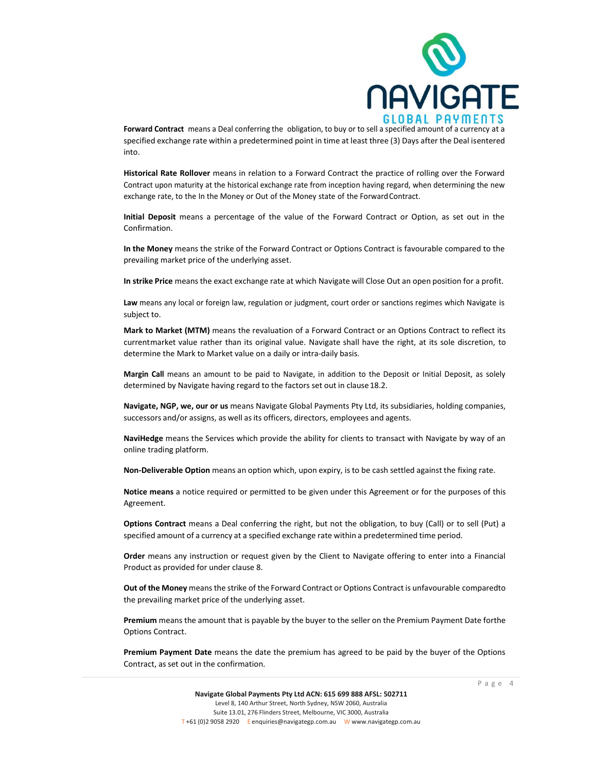

**Forward Contract** means a Deal conferring the obligation, to buy or to sell a specified amount of a currency at a specified exchange rate within a predetermined point in time at least three (3) Days after the Deal isentered into.

**Historical Rate Rollover** means in relation to a Forward Contract the practice of rolling over the Forward Contract upon maturity at the historical exchange rate from inception having regard, when determining the new exchange rate, to the In the Money or Out of the Money state of the ForwardContract.

**Initial Deposit** means a percentage of the value of the Forward Contract or Option, as set out in the Confirmation.

**In the Money** means the strike of the Forward Contract or Options Contract is favourable compared to the prevailing market price of the underlying asset.

**In strike Price** means the exact exchange rate at which Navigate will Close Out an open position for a profit.

**Law** means any local or foreign law, regulation or judgment, court order or sanctions regimes which Navigate is subject to.

**Mark to Market (MTM)** means the revaluation of a Forward Contract or an Options Contract to reflect its currentmarket value rather than its original value. Navigate shall have the right, at its sole discretion, to determine the Mark to Market value on a daily or intra-daily basis.

**Margin Call** means an amount to be paid to Navigate, in addition to the Deposit or Initial Deposit, as solely determined by Navigate having regard to the factors set out in clause 18.2.

**Navigate, NGP, we, our or us** means Navigate Global Payments Pty Ltd, its subsidiaries, holding companies, successors and/or assigns, as well as its officers, directors, employees and agents.

**NaviHedge** means the Services which provide the ability for clients to transact with Navigate by way of an online trading platform.

**Non-Deliverable Option** means an option which, upon expiry, is to be cash settled against the fixing rate.

**Notice means** a notice required or permitted to be given under this Agreement or for the purposes of this Agreement.

**Options Contract** means a Deal conferring the right, but not the obligation, to buy (Call) or to sell (Put) a specified amount of a currency at a specified exchange rate within a predetermined time period.

**Order** means any instruction or request given by the Client to Navigate offering to enter into a Financial Product as provided for under clause 8.

**Out of the Money** meansthe strike of the Forward Contract or Options Contract is unfavourable comparedto the prevailing market price of the underlying asset.

**Premium** means the amount that is payable by the buyer to the seller on the Premium Payment Date forthe Options Contract.

**Premium Payment Date** means the date the premium has agreed to be paid by the buyer of the Options Contract, as set out in the confirmation.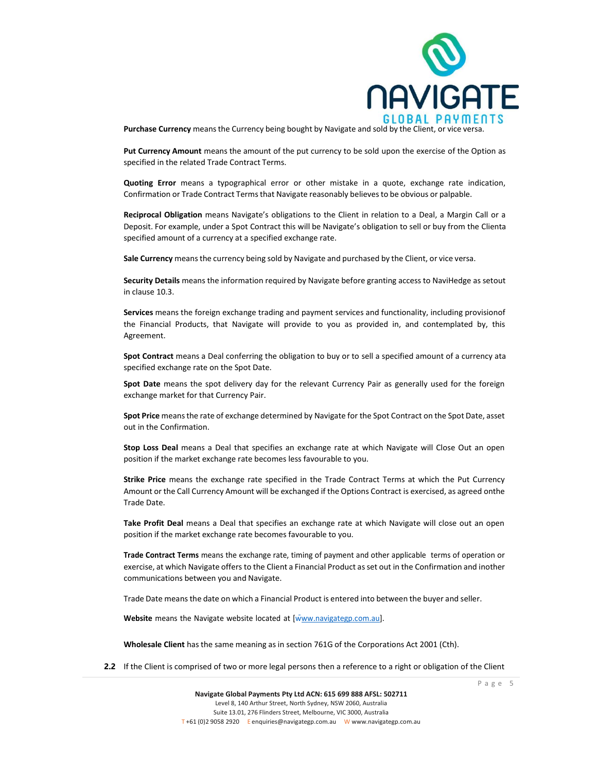

**Purchase Currency** meansthe Currency being bought by Navigate and sold by the Client, or vice versa.

**Put Currency Amount** means the amount of the put currency to be sold upon the exercise of the Option as specified in the related Trade Contract Terms.

**Quoting Error** means a typographical error or other mistake in a quote, exchange rate indication, Confirmation or Trade Contract Termsthat Navigate reasonably believesto be obvious or palpable.

**Reciprocal Obligation** means Navigate's obligations to the Client in relation to a Deal, a Margin Call or a Deposit. For example, under a Spot Contract this will be Navigate's obligation to sell or buy from the Clienta specified amount of a currency at a specified exchange rate.

**Sale Currency** meansthe currency being sold by Navigate and purchased by the Client, or vice versa.

**Security Details** means the information required by Navigate before granting access to NaviHedge as setout in clause 10.3.

**Services** means the foreign exchange trading and payment services and functionality, including provisionof the Financial Products, that Navigate will provide to you as provided in, and contemplated by, this Agreement.

**Spot Contract** means a Deal conferring the obligation to buy or to sell a specified amount of a currency ata specified exchange rate on the Spot Date.

**Spot Date** means the spot delivery day for the relevant Currency Pair as generally used for the foreign exchange market for that Currency Pair.

**Spot Price** meansthe rate of exchange determined by Navigate for the Spot Contract on the Spot Date, asset out in the Confirmation.

**Stop Loss Deal** means a Deal that specifies an exchange rate at which Navigate will Close Out an open position if the market exchange rate becomes less favourable to you.

**Strike Price** means the exchange rate specified in the Trade Contract Terms at which the Put Currency Amount or the Call Currency Amount will be exchanged if the Options Contract is exercised, as agreed onthe Trade Date.

**Take Profit Deal** means a Deal that specifies an exchange rate at which Navigate will close out an open position if the market exchange rate becomes favourable to you.

**Trade Contract Terms** means the exchange rate, timing of payment and other applicable terms of operation or exercise, at which Navigate offers to the Client a Financial Product asset out in the Confirmation and inother communications between you and Navigate.

Trade Date meansthe date on which a Financial Product is entered into between the buyer and seller.

**Website** means the Navigate website located at [\[www.navigategp.com.au\]](http://www.navigategp.com.au/).

**Wholesale Client** has the same meaning as in section 761G of the Corporations Act 2001 (Cth).

**2.2** If the Client is comprised of two or more legal persons then a reference to a right or obligation of the Client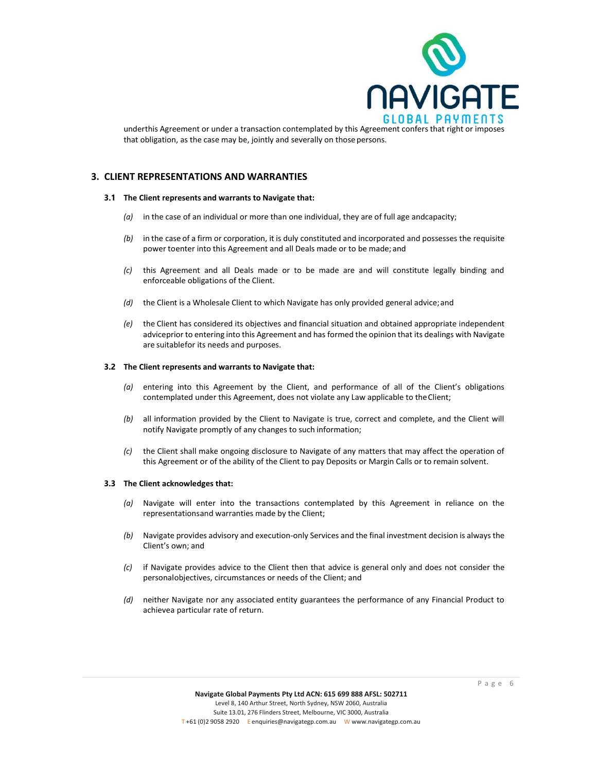

underthis Agreement or under a transaction contemplated by this Agreement confers that right or imposes that obligation, as the case may be, jointly and severally on those persons.

### **3. CLIENT REPRESENTATIONS AND WARRANTIES**

#### **3.1 The Client represents and warrants to Navigate that:**

- *(a)* in the case of an individual or more than one individual, they are of full age andcapacity;
- *(b)* in the case of a firm or corporation, it is duly constituted and incorporated and possesses the requisite power toenter into this Agreement and all Deals made or to be made; and
- *(c)* this Agreement and all Deals made or to be made are and will constitute legally binding and enforceable obligations of the Client.
- *(d)* the Client is a Wholesale Client to which Navigate has only provided general advice; and
- *(e)* the Client has considered its objectives and financial situation and obtained appropriate independent adviceprior to entering into this Agreement and has formed the opinion that its dealings with Navigate are suitablefor its needs and purposes.

#### **3.2 The Client represents and warrants to Navigate that:**

- *(a)* entering into this Agreement by the Client, and performance of all of the Client's obligations contemplated under this Agreement, does not violate any Law applicable to theClient;
- *(b)* all information provided by the Client to Navigate is true, correct and complete, and the Client will notify Navigate promptly of any changes to such information;
- *(c)* the Client shall make ongoing disclosure to Navigate of any matters that may affect the operation of this Agreement or of the ability of the Client to pay Deposits or Margin Calls or to remain solvent.

#### **3.3 The Client acknowledges that:**

- *(a)* Navigate will enter into the transactions contemplated by this Agreement in reliance on the representationsand warranties made by the Client;
- *(b)* Navigate provides advisory and execution-only Services and the final investment decision is always the Client's own; and
- *(c)* if Navigate provides advice to the Client then that advice is general only and does not consider the personalobjectives, circumstances or needs of the Client; and
- *(d)* neither Navigate nor any associated entity guarantees the performance of any Financial Product to achievea particular rate of return.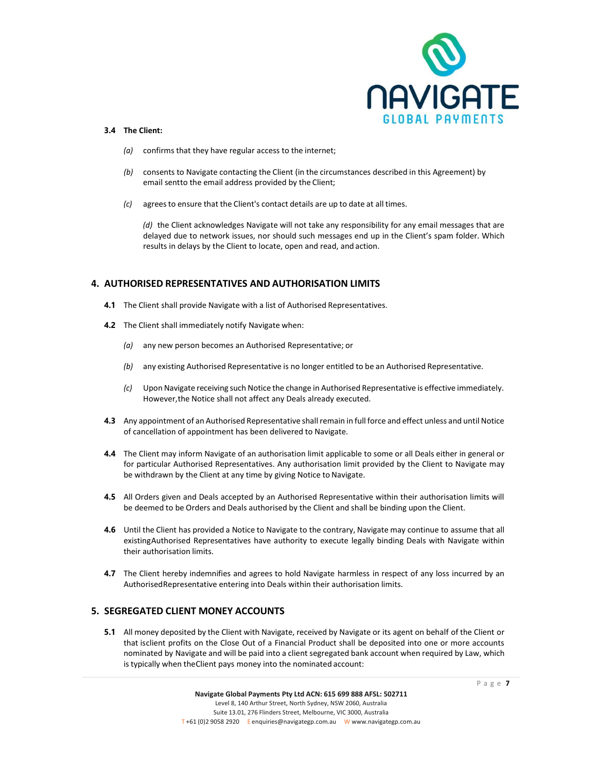

#### **3.4 The Client:**

- *(a)* confirms that they have regular access to the internet;
- *(b)* consents to Navigate contacting the Client (in the circumstances described in this Agreement) by email sentto the email address provided by the Client;
- *(c)* agreesto ensure that the Client's contact details are up to date at all times.

*(d)* the Client acknowledges Navigate will not take any responsibility for any email messages that are delayed due to network issues, nor should such messages end up in the Client's spam folder. Which results in delays by the Client to locate, open and read, and action.

# **4. AUTHORISED REPRESENTATIVES AND AUTHORISATION LIMITS**

- **4.1** The Client shall provide Navigate with a list of Authorised Representatives.
- **4.2** The Client shall immediately notify Navigate when:
	- *(a)* any new person becomes an Authorised Representative; or
	- *(b)* any existing Authorised Representative is no longer entitled to be an Authorised Representative.
	- *(c)* Upon Navigate receiving such Notice the change in Authorised Representative is effective immediately. However,the Notice shall not affect any Deals already executed.
- **4.3** Any appointment of an Authorised Representative shall remain in full force and effect unless and until Notice of cancellation of appointment has been delivered to Navigate.
- **4.4** The Client may inform Navigate of an authorisation limit applicable to some or all Deals either in general or for particular Authorised Representatives. Any authorisation limit provided by the Client to Navigate may be withdrawn by the Client at any time by giving Notice to Navigate.
- **4.5** All Orders given and Deals accepted by an Authorised Representative within their authorisation limits will be deemed to be Orders and Deals authorised by the Client and shall be binding upon the Client.
- **4.6** Until the Client has provided a Notice to Navigate to the contrary, Navigate may continue to assume that all existingAuthorised Representatives have authority to execute legally binding Deals with Navigate within their authorisation limits.
- **4.7** The Client hereby indemnifies and agrees to hold Navigate harmless in respect of any loss incurred by an AuthorisedRepresentative entering into Deals within their authorisation limits.

# **5. SEGREGATED CLIENT MONEY ACCOUNTS**

**5.1** All money deposited by the Client with Navigate, received by Navigate or its agent on behalf of the Client or that isclient profits on the Close Out of a Financial Product shall be deposited into one or more accounts nominated by Navigate and will be paid into a client segregated bank account when required by Law, which is typically when theClient pays money into the nominated account: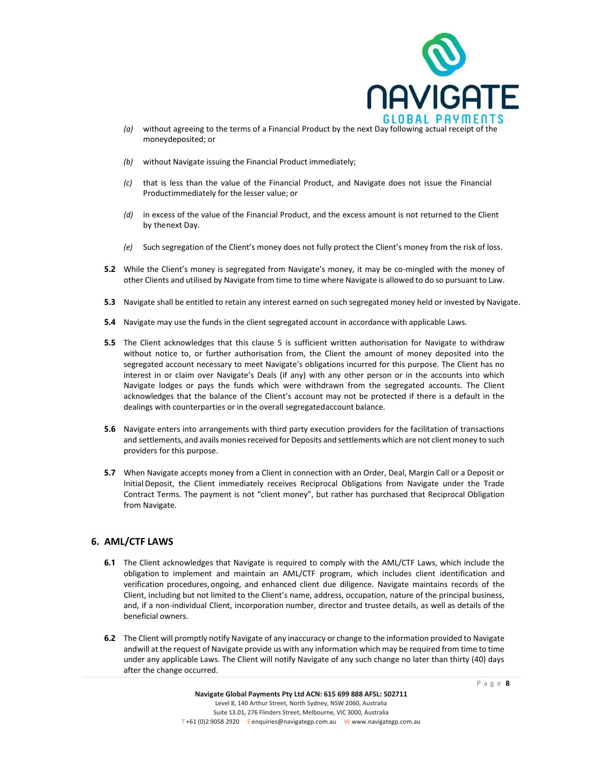

- *(a)* without agreeing to the terms of a Financial Product by the next Day following actual receipt of the moneydeposited; or
- *(b)* without Navigate issuing the Financial Product immediately;
- *(c)* that is less than the value of the Financial Product, and Navigate does not issue the Financial Productimmediately for the lesser value; or
- *(d)* in excess of the value of the Financial Product, and the excess amount is not returned to the Client by thenext Day.
- *(e)* Such segregation of the Client's money does not fully protect the Client's money from the risk of loss.
- **5.2** While the Client's money is segregated from Navigate's money, it may be co-mingled with the money of other Clients and utilised by Navigate from time to time where Navigate is allowed to do so pursuant to Law.
- **5.3** Navigate shall be entitled to retain any interest earned on such segregated money held or invested by Navigate.
- **5.4** Navigate may use the funds in the client segregated account in accordance with applicable Laws.
- **5.5** The Client acknowledges that this clause 5 is sufficient written authorisation for Navigate to withdraw without notice to, or further authorisation from, the Client the amount of money deposited into the segregated account necessary to meet Navigate's obligations incurred for this purpose. The Client has no interest in or claim over Navigate's Deals (if any) with any other person or in the accounts into which Navigate lodges or pays the funds which were withdrawn from the segregated accounts. The Client acknowledges that the balance of the Client's account may not be protected if there is a default in the dealings with counterparties or in the overall segregatedaccount balance.
- **5.6** Navigate enters into arrangements with third party execution providers for the facilitation of transactions and settlements, and avails monies received for Deposits and settlements which are not client money to such providers for this purpose.
- **5.7** When Navigate accepts money from a Client in connection with an Order, Deal, Margin Call or a Deposit or Initial Deposit, the Client immediately receives Reciprocal Obligations from Navigate under the Trade Contract Terms. The payment is not "client money", but rather has purchased that Reciprocal Obligation from Navigate.

## **6. AML/CTF LAWS**

- **6.1** The Client acknowledges that Navigate is required to comply with the AML/CTF Laws, which include the obligation to implement and maintain an AML/CTF program, which includes client identification and verification procedures,ongoing, and enhanced client due diligence. Navigate maintains records of the Client, including but not limited to the Client's name, address, occupation, nature of the principal business, and, if a non-individual Client, incorporation number, director and trustee details, as well as details of the beneficial owners.
- **6.2** The Client will promptly notify Navigate of any inaccuracy or change to the information provided to Navigate andwill at the request of Navigate provide us with any information which may be required from time to time under any applicable Laws. The Client will notify Navigate of any such change no later than thirty (40) days after the change occurred.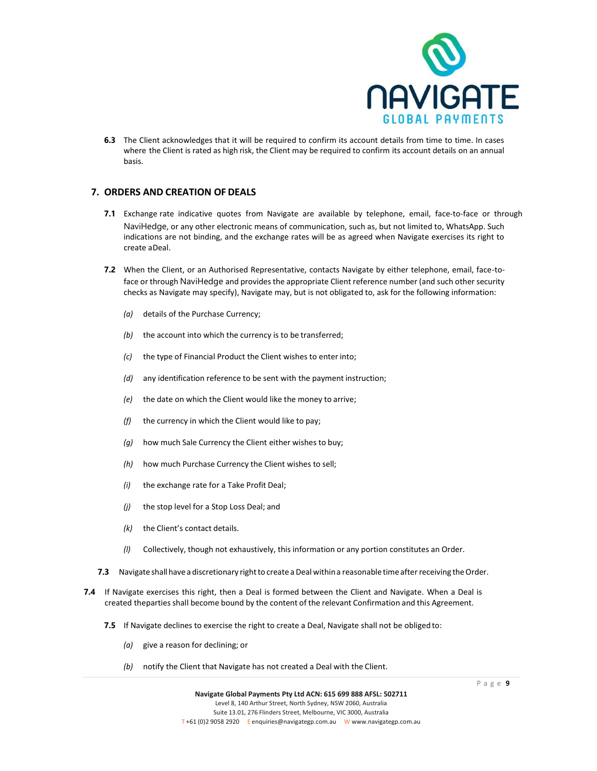

**6.3** The Client acknowledges that it will be required to confirm its account details from time to time. In cases where the Client is rated as high risk, the Client may be required to confirm its account details on an annual basis.

# **7. ORDERS AND CREATION OF DEALS**

- **7.1** Exchange rate indicative quotes from Navigate are available by telephone, email, face-to-face or through NaviHedge, or any other electronic means of communication, such as, but not limited to, WhatsApp. Such indications are not binding, and the exchange rates will be as agreed when Navigate exercises its right to create aDeal.
- **7.2** When the Client, or an Authorised Representative, contacts Navigate by either telephone, email, face-toface or through NaviHedge and provides the appropriate Client reference number (and such other security checks as Navigate may specify), Navigate may, but is not obligated to, ask for the following information:
	- *(a)* details of the Purchase Currency;
	- *(b)* the account into which the currency is to be transferred;
	- *(c)* the type of Financial Product the Client wishes to enter into;
	- *(d)* any identification reference to be sent with the payment instruction;
	- *(e)* the date on which the Client would like the money to arrive;
	- *(f)* the currency in which the Client would like to pay;
	- *(g)* how much Sale Currency the Client either wishes to buy;
	- *(h)* how much Purchase Currency the Client wishes to sell;
	- *(i)* the exchange rate for a Take Profit Deal;
	- *(j)* the stop level for a Stop Loss Deal; and
	- *(k)* the Client's contact details.
	- *(l)* Collectively, though not exhaustively, this information or any portion constitutes an Order.
- **7.3** Navigate shall have a discretionary right to create a Deal within a reasonable time after receiving the Order.
- **7.4** If Navigate exercises this right, then a Deal is formed between the Client and Navigate. When a Deal is created theparties shall become bound by the content of the relevant Confirmation and this Agreement.
	- **7.5** If Navigate declines to exercise the right to create a Deal, Navigate shall not be obligedto:
		- *(a)* give a reason for declining; or
		- *(b)* notify the Client that Navigate has not created a Deal with the Client.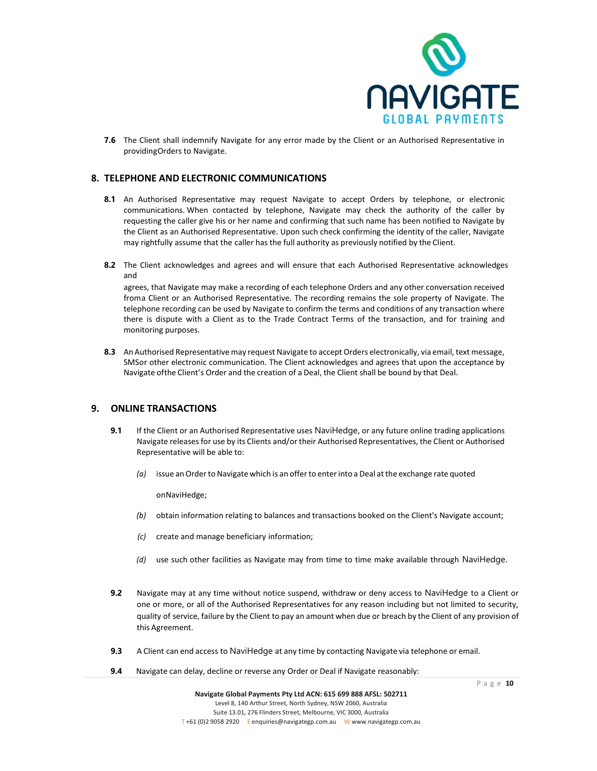

**7.6** The Client shall indemnify Navigate for any error made by the Client or an Authorised Representative in providingOrders to Navigate.

### **8. TELEPHONE AND ELECTRONIC COMMUNICATIONS**

- **8.1** An Authorised Representative may request Navigate to accept Orders by telephone, or electronic communications. When contacted by telephone, Navigate may check the authority of the caller by requesting the caller give his or her name and confirming that such name has been notified to Navigate by the Client as an Authorised Representative. Upon such check confirming the identity of the caller, Navigate may rightfully assume that the caller has the full authority as previously notified by the Client.
- **8.2** The Client acknowledges and agrees and will ensure that each Authorised Representative acknowledges and

agrees, that Navigate may make a recording of each telephone Orders and any other conversation received froma Client or an Authorised Representative. The recording remains the sole property of Navigate. The telephone recording can be used by Navigate to confirm the terms and conditions of any transaction where there is dispute with a Client as to the Trade Contract Terms of the transaction, and for training and monitoring purposes.

**8.3** An Authorised Representative may request Navigate to accept Orders electronically, via email, text message, SMSor other electronic communication. The Client acknowledges and agrees that upon the acceptance by Navigate ofthe Client's Order and the creation of a Deal, the Client shall be bound by that Deal.

### **9. ONLINE TRANSACTIONS**

- **9.1** If the Client or an Authorised Representative uses NaviHedge, or any future online trading applications Navigate releases for use by its Clients and/or their Authorised Representatives, the Client or Authorised Representative will be able to:
	- *(a)* issue anOrderto Navigatewhich is an offerto enterinto a Deal atthe exchange rate quoted

onNaviHedge;

- *(b)* obtain information relating to balances and transactions booked on the Client's Navigate account;
- *(c)* create and manage beneficiary information;
- *(d)* use such other facilities as Navigate may from time to time make available through NaviHedge.
- **9.2** Navigate may at any time without notice suspend, withdraw or deny access to NaviHedge to a Client or one or more, or all of the Authorised Representatives for any reason including but not limited to security, quality of service, failure by the Client to pay an amount when due or breach by the Client of any provision of this Agreement.
- **9.3** A Client can end access to NaviHedge at any time by contacting Navigate via telephone or email.
- **9.4** Navigate can delay, decline or reverse any Order or Deal if Navigate reasonably: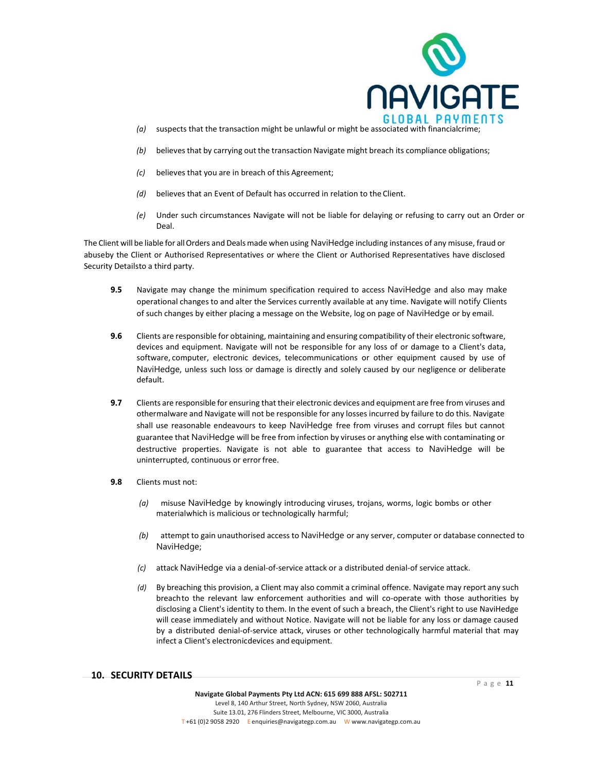

- *(a)* suspects that the transaction might be unlawful or might be associated with financialcrime;
- *(b)* believesthat by carrying out the transaction Navigate might breach its compliance obligations;
- *(c)* believes that you are in breach of this Agreement;
- *(d)* believes that an Event of Default has occurred in relation to the Client.
- *(e)* Under such circumstances Navigate will not be liable for delaying or refusing to carry out an Order or Deal.

The Client will be liable for allOrders and Dealsmade when using NaviHedge including instances of any misuse, fraud or abuseby the Client or Authorised Representatives or where the Client or Authorised Representatives have disclosed Security Detailsto a third party.

- **9.5** Navigate may change the minimum specification required to access NaviHedge and also may make operational changes to and alter the Services currently available at any time. Navigate will notify Clients of such changes by either placing a message on the Website, log on page of NaviHedge or by email.
- **9.6** Clients are responsible for obtaining, maintaining and ensuring compatibility of their electronic software, devices and equipment. Navigate will not be responsible for any loss of or damage to a Client's data, software, computer, electronic devices, telecommunications or other equipment caused by use of NaviHedge, unless such loss or damage is directly and solely caused by our negligence or deliberate default.
- **9.7** Clients are responsible for ensuring that their electronic devices and equipment are free from viruses and othermalware and Navigate will not be responsible for any losses incurred by failure to do this. Navigate shall use reasonable endeavours to keep NaviHedge free from viruses and corrupt files but cannot guarantee that NaviHedge will be free from infection by viruses or anything else with contaminating or destructive properties. Navigate is not able to guarantee that access to NaviHedge will be uninterrupted, continuous or errorfree.
- **9.8** Clients must not:
	- *(a)* misuse NaviHedge by knowingly introducing viruses, trojans, worms, logic bombs or other materialwhich is malicious or technologically harmful;
	- *(b)* attempt to gain unauthorised access to NaviHedge or any server, computer or database connected to NaviHedge;
	- *(c)* attack NaviHedge via a denial-of-service attack or a distributed denial-of service attack.
	- *(d)* By breaching this provision, a Client may also commit a criminal offence. Navigate may report any such breachto the relevant law enforcement authorities and will co-operate with those authorities by disclosing a Client's identity to them. In the event of such a breach, the Client's right to use NaviHedge will cease immediately and without Notice. Navigate will not be liable for any loss or damage caused by a distributed denial-of-service attack, viruses or other technologically harmful material that may infect a Client's electronicdevices and equipment.

### **10. SECURITY DETAILS**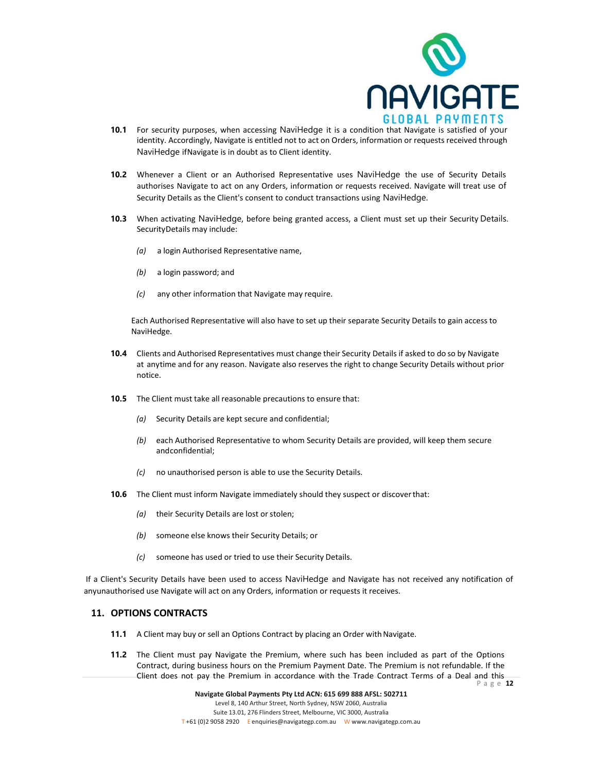

- **10.1** For security purposes, when accessing NaviHedge it is a condition that Navigate is satisfied of your identity. Accordingly, Navigate is entitled not to act on Orders, information or requests received through NaviHedge ifNavigate is in doubt as to Client identity.
- **10.2** Whenever a Client or an Authorised Representative uses NaviHedge the use of Security Details authorises Navigate to act on any Orders, information or requests received. Navigate will treat use of Security Details as the Client's consent to conduct transactions using NaviHedge.
- **10.3** When activating NaviHedge, before being granted access, a Client must set up their Security Details. SecurityDetails may include:
	- *(a)* a login Authorised Representative name,
	- *(b)* a login password; and
	- *(c)* any other information that Navigate may require.

Each Authorised Representative will also have to set up their separate Security Details to gain access to NaviHedge.

- **10.4** Clients and Authorised Representatives must change their Security Details if asked to do so by Navigate at anytime and for any reason. Navigate also reserves the right to change Security Details without prior notice.
- **10.5** The Client must take all reasonable precautions to ensure that:
	- *(a)* Security Details are kept secure and confidential;
	- *(b)* each Authorised Representative to whom Security Details are provided, will keep them secure andconfidential;
	- *(c)* no unauthorised person is able to use the Security Details.
- **10.6** The Client must inform Navigate immediately should they suspect or discoverthat:
	- *(a)* their Security Details are lost or stolen;
	- *(b)* someone else knows their Security Details; or
	- *(c)* someone has used or tried to use their Security Details.

If a Client's Security Details have been used to access NaviHedge and Navigate has not received any notification of anyunauthorised use Navigate will act on any Orders, information or requests it receives.

# **11. OPTIONS CONTRACTS**

- **11.1** A Client may buy or sell an Options Contract by placing an Order with Navigate.
- P a g e **12 11.2** The Client must pay Navigate the Premium, where such has been included as part of the Options Contract, during business hours on the Premium Payment Date. The Premium is not refundable. If the Client does not pay the Premium in accordance with the Trade Contract Terms of a Deal and this

**Navigate Global Payments Pty Ltd ACN: 615 699 888 AFSL: 502711** Level 8, 140 Arthur Street, North Sydney, NSW 2060, Australia Suite 13.01, 276 Flinders Street, Melbourne, VIC 3000, Australia T +61 (0)2 9058 2920 E [enquiries@navigategp.com.au](mailto:enquiries@navigategp.com.au) W [www.navigategp.com.au](http://www.navigategp.com.au/)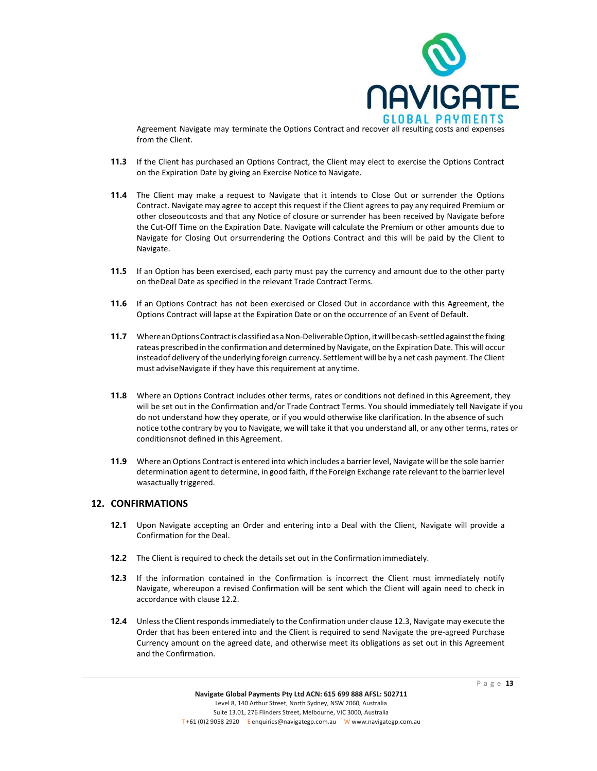

Agreement Navigate may terminate the Options Contract and recover all resulting costs and expenses from the Client.

- **11.3** If the Client has purchased an Options Contract, the Client may elect to exercise the Options Contract on the Expiration Date by giving an Exercise Notice to Navigate.
- **11.4** The Client may make a request to Navigate that it intends to Close Out or surrender the Options Contract. Navigate may agree to accept this request if the Client agrees to pay any required Premium or other closeoutcosts and that any Notice of closure or surrender has been received by Navigate before the Cut-Off Time on the Expiration Date. Navigate will calculate the Premium or other amounts due to Navigate for Closing Out orsurrendering the Options Contract and this will be paid by the Client to Navigate.
- **11.5** If an Option has been exercised, each party must pay the currency and amount due to the other party on theDeal Date as specified in the relevant Trade Contract Terms.
- **11.6** If an Options Contract has not been exercised or Closed Out in accordance with this Agreement, the Options Contract will lapse at the Expiration Date or on the occurrence of an Event of Default.
- **11.7** Where an Options Contract is classified as a Non-Deliverable Option, it will be cash-settled against the fixing rateas prescribed in the confirmation and determined by Navigate, on the Expiration Date. This will occur insteadof delivery ofthe underlying foreign currency. Settlement will be by a net cash payment. The Client must adviseNavigate if they have this requirement at any time.
- **11.8** Where an Options Contract includes other terms, rates or conditions not defined in this Agreement, they will be set out in the Confirmation and/or Trade Contract Terms. You should immediately tell Navigate if you do not understand how they operate, or if you would otherwise like clarification. In the absence of such notice tothe contrary by you to Navigate, we will take it that you understand all, or any other terms, rates or conditionsnot defined in this Agreement.
- **11.9** Where an Options Contract is entered into which includes a barrier level, Navigate will be the sole barrier determination agent to determine, in good faith, if the Foreign Exchange rate relevant to the barrier level wasactually triggered.

### **12. CONFIRMATIONS**

- **12.1** Upon Navigate accepting an Order and entering into a Deal with the Client, Navigate will provide a Confirmation for the Deal.
- **12.2** The Client is required to check the details set out in the Confirmationimmediately.
- **12.3** If the information contained in the Confirmation is incorrect the Client must immediately notify Navigate, whereupon a revised Confirmation will be sent which the Client will again need to check in accordance with clause 12.2.
- **12.4** Unless the Client responds immediately to the Confirmation under clause 12.3, Navigate may execute the Order that has been entered into and the Client is required to send Navigate the pre-agreed Purchase Currency amount on the agreed date, and otherwise meet its obligations as set out in this Agreement and the Confirmation.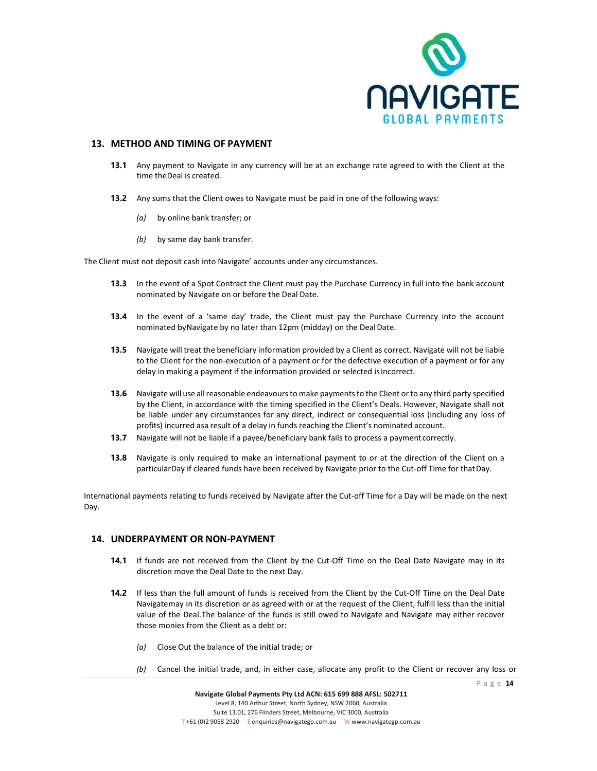

### **13. METHOD AND TIMING OF PAYMENT**

- **13.1** Any payment to Navigate in any currency will be at an exchange rate agreed to with the Client at the time theDeal is created.
- **13.2** Any sums that the Client owes to Navigate must be paid in one of the following ways:
	- *(a)* by online bank transfer; or
	- *(b)* by same day bank transfer.

The Client must not deposit cash into Navigate' accounts under any circumstances.

- **13.3** In the event of a Spot Contract the Client must pay the Purchase Currency in full into the bank account nominated by Navigate on or before the Deal Date.
- **13.4** In the event of a 'same day' trade, the Client must pay the Purchase Currency into the account nominated byNavigate by no later than 12pm (midday) on the DealDate.
- **13.5** Navigate will treat the beneficiary information provided by a Client as correct. Navigate will not be liable to the Client for the non-execution of a payment or for the defective execution of a payment or for any delay in making a payment if the information provided or selected isincorrect.
- **13.6** Navigate will use all reasonable endeavours to make payments to the Client or to any third party specified by the Client, in accordance with the timing specified in the Client's Deals. However, Navigate shall not be liable under any circumstances for any direct, indirect or consequential loss (including any loss of profits) incurred asa result of a delay in funds reaching the Client's nominated account.
- **13.7** Navigate will not be liable if a payee/beneficiary bank fails to process a payment correctly.
- **13.8** Navigate is only required to make an international payment to or at the direction of the Client on a particularDay if cleared funds have been received by Navigate prior to the Cut-off Time for thatDay.

International payments relating to funds received by Navigate after the Cut-off Time for a Day will be made on the next Day.

### **14. UNDERPAYMENT OR NON-PAYMENT**

- **14.1** If funds are not received from the Client by the Cut-Off Time on the Deal Date Navigate may in its discretion move the Deal Date to the next Day.
- **14.2** If less than the full amount of funds is received from the Client by the Cut-Off Time on the Deal Date Navigatemay in its discretion or as agreed with or at the request of the Client, fulfill less than the initial value of the Deal.The balance of the funds is still owed to Navigate and Navigate may either recover those monies from the Client as a debt or:
	- *(a)* Close Out the balance of the initial trade; or
	- *(b)* Cancel the initial trade, and, in either case, allocate any profit to the Client or recover any loss or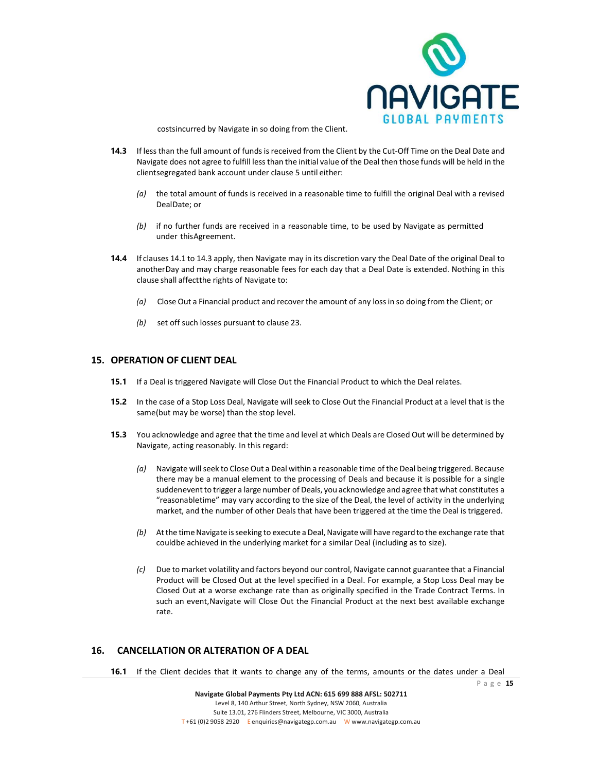

costsincurred by Navigate in so doing from the Client.

- **14.3** If less than the full amount of funds is received from the Client by the Cut-Off Time on the Deal Date and Navigate does not agree to fulfill less than the initial value of the Deal then those funds will be held in the clientsegregated bank account under clause 5 until either:
	- *(a)* the total amount of funds is received in a reasonable time to fulfill the original Deal with a revised DealDate; or
	- *(b)* if no further funds are received in a reasonable time, to be used by Navigate as permitted under thisAgreement.
- **14.4** If clauses 14.1 to 14.3 apply, then Navigate may in its discretion vary the Deal Date of the original Deal to anotherDay and may charge reasonable fees for each day that a Deal Date is extended. Nothing in this clause shall affectthe rights of Navigate to:
	- *(a)* Close Out a Financial product and recover the amount of any lossin so doing from the Client; or
	- *(b)* set off such losses pursuant to clause 23.

### **15. OPERATION OF CLIENT DEAL**

- **15.1** If a Deal is triggered Navigate will Close Out the Financial Product to which the Deal relates.
- **15.2** In the case of a Stop Loss Deal, Navigate will seek to Close Out the Financial Product at a level that is the same(but may be worse) than the stop level.
- **15.3** You acknowledge and agree that the time and level at which Deals are Closed Out will be determined by Navigate, acting reasonably. In this regard:
	- *(a)* Navigate will seek to Close Out a Deal within a reasonable time of the Deal being triggered. Because there may be a manual element to the processing of Deals and because it is possible for a single suddenevent to trigger a large number of Deals, you acknowledge and agree that what constitutes a "reasonabletime" may vary according to the size of the Deal, the level of activity in the underlying market, and the number of other Deals that have been triggered at the time the Deal is triggered.
	- *(b)* At the time Navigate is seeking to execute a Deal, Navigate will have regard to the exchange rate that couldbe achieved in the underlying market for a similar Deal (including as to size).
	- *(c)* Due to market volatility and factors beyond our control, Navigate cannot guarantee that a Financial Product will be Closed Out at the level specified in a Deal. For example, a Stop Loss Deal may be Closed Out at a worse exchange rate than as originally specified in the Trade Contract Terms. In such an event,Navigate will Close Out the Financial Product at the next best available exchange rate.

# **16. CANCELLATION OR ALTERATION OF A DEAL**

16.1 If the Client decides that it wants to change any of the terms, amounts or the dates under a Deal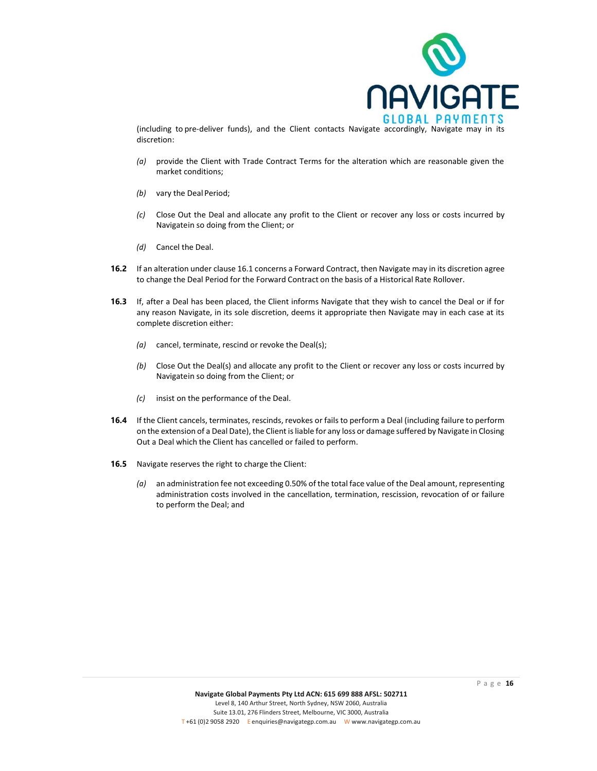

(including to pre-deliver funds), and the Client contacts Navigate accordingly, Navigate may in its discretion:

- *(a)* provide the Client with Trade Contract Terms for the alteration which are reasonable given the market conditions;
- *(b)* vary the Deal Period;
- *(c)* Close Out the Deal and allocate any profit to the Client or recover any loss or costs incurred by Navigatein so doing from the Client; or
- *(d)* Cancel the Deal.
- **16.2** If an alteration under clause 16.1 concerns a Forward Contract, then Navigate may in its discretion agree to change the Deal Period for the Forward Contract on the basis of a Historical Rate Rollover.
- **16.3** If, after a Deal has been placed, the Client informs Navigate that they wish to cancel the Deal or if for any reason Navigate, in its sole discretion, deems it appropriate then Navigate may in each case at its complete discretion either:
	- *(a)* cancel, terminate, rescind or revoke the Deal(s);
	- *(b)* Close Out the Deal(s) and allocate any profit to the Client or recover any loss or costs incurred by Navigatein so doing from the Client; or
	- *(c)* insist on the performance of the Deal.
- **16.4** If the Client cancels, terminates, rescinds, revokes or fails to perform a Deal (including failure to perform on the extension of a Deal Date), the Client is liable for any loss or damage suffered by Navigate in Closing Out a Deal which the Client has cancelled or failed to perform.
- **16.5** Navigate reserves the right to charge the Client:
	- *(a)* an administration fee not exceeding 0.50% of the total face value of the Deal amount, representing administration costs involved in the cancellation, termination, rescission, revocation of or failure to perform the Deal; and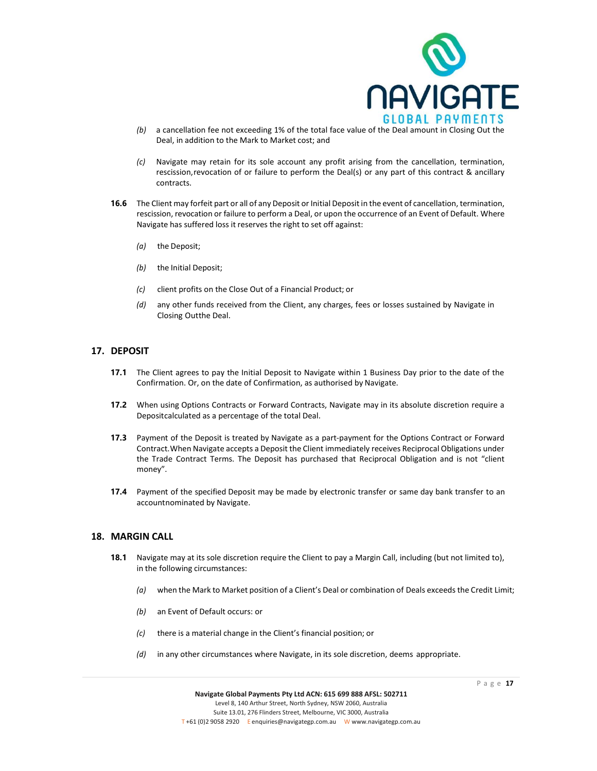

- *(b)* a cancellation fee not exceeding 1% of the total face value of the Deal amount in Closing Out the Deal, in addition to the Mark to Market cost; and
- *(c)* Navigate may retain for its sole account any profit arising from the cancellation, termination, rescission,revocation of or failure to perform the Deal(s) or any part of this contract & ancillary contracts.
- **16.6** The Client may forfeit part or all of any Deposit or Initial Deposit in the event of cancellation, termination, rescission, revocation or failure to perform a Deal, or upon the occurrence of an Event of Default. Where Navigate has suffered loss it reserves the right to set off against:
	- *(a)* the Deposit;
	- *(b)* the Initial Deposit;
	- *(c)* client profits on the Close Out of a Financial Product; or
	- *(d)* any other funds received from the Client, any charges, fees or losses sustained by Navigate in Closing Outthe Deal.

### **17. DEPOSIT**

- **17.1** The Client agrees to pay the Initial Deposit to Navigate within 1 Business Day prior to the date of the Confirmation. Or, on the date of Confirmation, as authorised by Navigate.
- **17.2** When using Options Contracts or Forward Contracts, Navigate may in its absolute discretion require a Depositcalculated as a percentage of the total Deal.
- **17.3** Payment of the Deposit is treated by Navigate as a part-payment for the Options Contract or Forward Contract.When Navigate accepts a Deposit the Client immediately receives Reciprocal Obligations under the Trade Contract Terms. The Deposit has purchased that Reciprocal Obligation and is not "client money".
- **17.4** Payment of the specified Deposit may be made by electronic transfer or same day bank transfer to an accountnominated by Navigate.

### **18. MARGIN CALL**

- **18.1** Navigate may at its sole discretion require the Client to pay a Margin Call, including (but not limited to), in the following circumstances:
	- *(a)* when the Mark to Market position of a Client's Deal or combination of Deals exceeds the Credit Limit;
	- *(b)* an Event of Default occurs: or
	- *(c)* there is a material change in the Client's financial position; or
	- *(d)* in any other circumstances where Navigate, in its sole discretion, deems appropriate.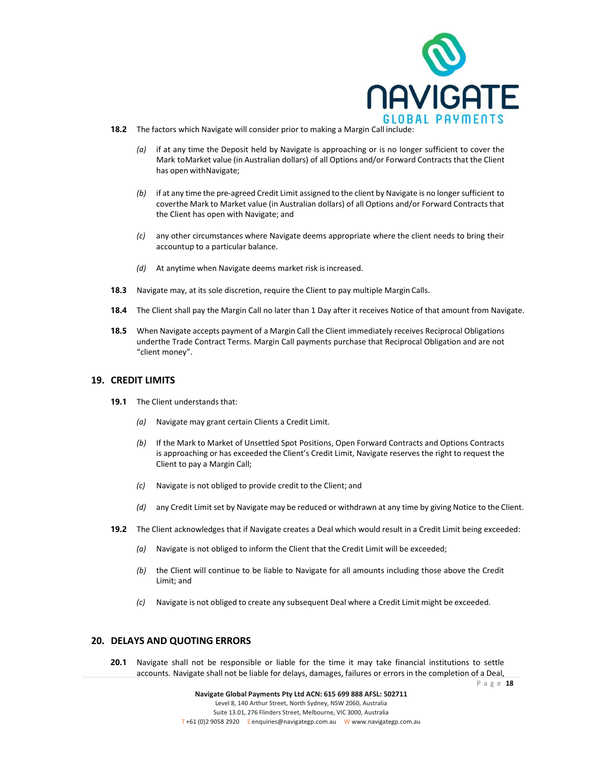

- **18.2** The factors which Navigate will consider prior to making a Margin Call include:
	- *(a)* if at any time the Deposit held by Navigate is approaching or is no longer sufficient to cover the Mark toMarket value (in Australian dollars) of all Options and/or Forward Contracts that the Client has open withNavigate;
	- *(b)* if at any time the pre-agreed Credit Limit assigned to the client by Navigate is no longer sufficient to coverthe Mark to Market value (in Australian dollars) of all Options and/or Forward Contracts that the Client has open with Navigate; and
	- *(c)* any other circumstances where Navigate deems appropriate where the client needs to bring their accountup to a particular balance.
	- *(d)* At anytime when Navigate deems market risk isincreased.
- **18.3** Navigate may, at its sole discretion, require the Client to pay multiple Margin Calls.
- **18.4** The Client shall pay the Margin Call no later than 1 Day after it receives Notice of that amount from Navigate.
- **18.5** When Navigate accepts payment of a Margin Call the Client immediately receives Reciprocal Obligations underthe Trade Contract Terms. Margin Call payments purchase that Reciprocal Obligation and are not "client money".

### **19. CREDIT LIMITS**

- **19.1** The Client understands that:
	- *(a)* Navigate may grant certain Clients a Credit Limit.
	- *(b)* If the Mark to Market of Unsettled Spot Positions, Open Forward Contracts and Options Contracts is approaching or has exceeded the Client's Credit Limit, Navigate reserves the right to request the Client to pay a Margin Call;
	- *(c)* Navigate is not obliged to provide credit to the Client; and
	- *(d)* any Credit Limit set by Navigate may be reduced or withdrawn at any time by giving Notice to the Client.
- **19.2** The Client acknowledges that if Navigate creates a Deal which would result in a Credit Limit being exceeded:
	- *(a)* Navigate is not obliged to inform the Client that the Credit Limit will be exceeded;
	- *(b)* the Client will continue to be liable to Navigate for all amounts including those above the Credit Limit; and
	- *(c)* Navigate is not obliged to create any subsequent Deal where a Credit Limit might be exceeded.

### **20. DELAYS AND QUOTING ERRORS**

**20.1** Navigate shall not be responsible or liable for the time it may take financial institutions to settle accounts. Navigate shall not be liable for delays, damages, failures or errors in the completion of a Deal,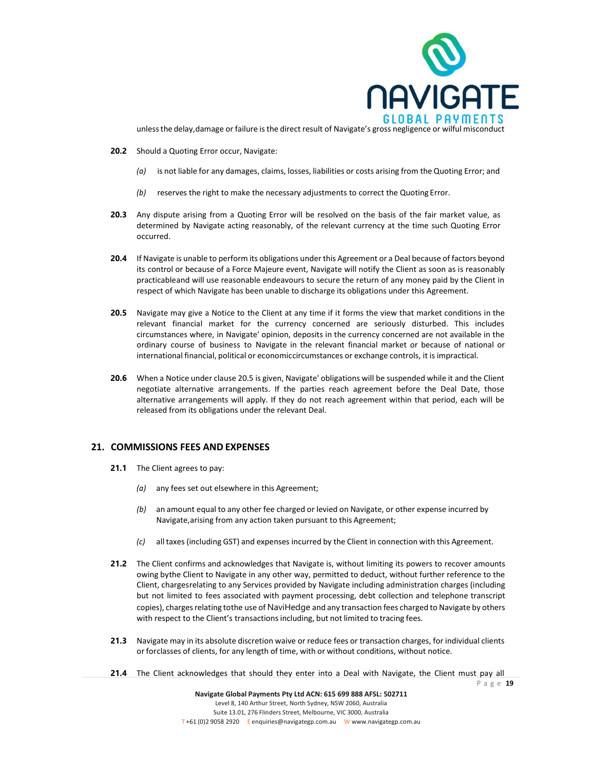

unlessthe delay,damage or failure is the direct result of Navigate's gross negligence or wilful misconduct

- **20.2** Should a Quoting Error occur, Navigate:
	- *(a)* is not liable for any damages, claims, losses, liabilities or costs arising from the Quoting Error; and
	- *(b)* reserves the right to make the necessary adjustments to correct the Quoting Error.
- **20.3** Any dispute arising from a Quoting Error will be resolved on the basis of the fair market value, as determined by Navigate acting reasonably, of the relevant currency at the time such Quoting Error occurred.
- **20.4** If Navigate is unable to perform its obligations under this Agreement or a Deal because of factors beyond its control or because of a Force Majeure event, Navigate will notify the Client as soon as is reasonably practicableand will use reasonable endeavours to secure the return of any money paid by the Client in respect of which Navigate has been unable to discharge its obligations under this Agreement.
- **20.5** Navigate may give a Notice to the Client at any time if it forms the view that market conditions in the relevant financial market for the currency concerned are seriously disturbed. This includes circumstances where, in Navigate' opinion, deposits in the currency concerned are not available in the ordinary course of business to Navigate in the relevant financial market or because of national or international financial, political or economiccircumstances or exchange controls, it is impractical.
- **20.6** When a Notice under clause 20.5 is given, Navigate' obligations will be suspended while it and the Client negotiate alternative arrangements. If the parties reach agreement before the Deal Date, those alternative arrangements will apply. If they do not reach agreement within that period, each will be released from its obligations under the relevant Deal.

### **21. COMMISSIONS FEES AND EXPENSES**

- **21.1** The Client agrees to pay:
	- *(a)* any fees set out elsewhere in this Agreement;
	- *(b)* an amount equal to any other fee charged or levied on Navigate, or other expense incurred by Navigate,arising from any action taken pursuant to this Agreement;
	- *(c)* all taxes (including GST) and expenses incurred by the Client in connection with this Agreement.
- **21.2** The Client confirms and acknowledges that Navigate is, without limiting its powers to recover amounts owing bythe Client to Navigate in any other way, permitted to deduct, without further reference to the Client, chargesrelating to any Services provided by Navigate including administration charges (including but not limited to fees associated with payment processing, debt collection and telephone transcript copies), chargesrelating tothe use of NaviHedge and any transaction fees charged to Navigate by others with respect to the Client's transactions including, but not limited to tracing fees.
- **21.3** Navigate may in its absolute discretion waive or reduce fees or transaction charges, for individual clients or forclasses of clients, for any length of time, with or without conditions, without notice.
- **21.4** The Client acknowledges that should they enter into a Deal with Navigate, the Client must pay all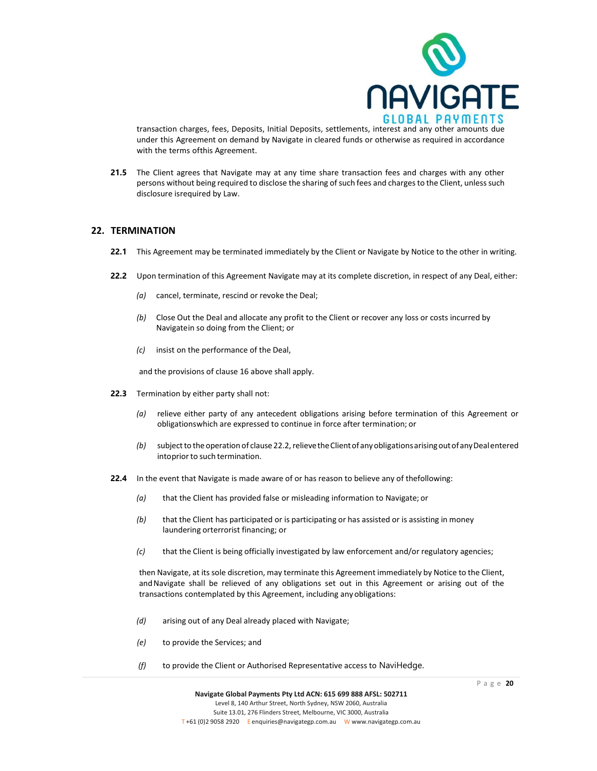

transaction charges, fees, Deposits, Initial Deposits, settlements, interest and any other amounts due under this Agreement on demand by Navigate in cleared funds or otherwise as required in accordance with the terms ofthis Agreement.

**21.5** The Client agrees that Navigate may at any time share transaction fees and charges with any other persons without being required to disclose the sharing of such fees and charges to the Client, unless such disclosure isrequired by Law.

### **22. TERMINATION**

- **22.1** This Agreement may be terminated immediately by the Client or Navigate by Notice to the other in writing.
- **22.2** Upon termination of this Agreement Navigate may at its complete discretion, in respect of any Deal, either:
	- *(a)* cancel, terminate, rescind or revoke the Deal;
	- *(b)* Close Out the Deal and allocate any profit to the Client or recover any loss or costs incurred by Navigatein so doing from the Client; or
	- *(c)* insist on the performance of the Deal,

and the provisions of clause 16 above shall apply.

- **22.3** Termination by either party shall not:
	- *(a)* relieve either party of any antecedent obligations arising before termination of this Agreement or obligationswhich are expressed to continue in force after termination; or
	- (b) subject to the operation of clause 22.2, relieve the Client of any obligations arising out of any Deal entered intoprior to such termination.
- **22.4** In the event that Navigate is made aware of or has reason to believe any of thefollowing:
	- *(a)* that the Client has provided false or misleading information to Navigate; or
	- *(b)* that the Client has participated or is participating or has assisted or is assisting in money laundering orterrorist financing; or
	- *(c)* that the Client is being officially investigated by law enforcement and/or regulatory agencies;

then Navigate, at its sole discretion, may terminate this Agreement immediately by Notice to the Client, andNavigate shall be relieved of any obligations set out in this Agreement or arising out of the transactions contemplated by this Agreement, including any obligations:

- *(d)* arising out of any Deal already placed with Navigate;
- *(e)* to provide the Services; and
- *(f)* to provide the Client or Authorised Representative access to NaviHedge.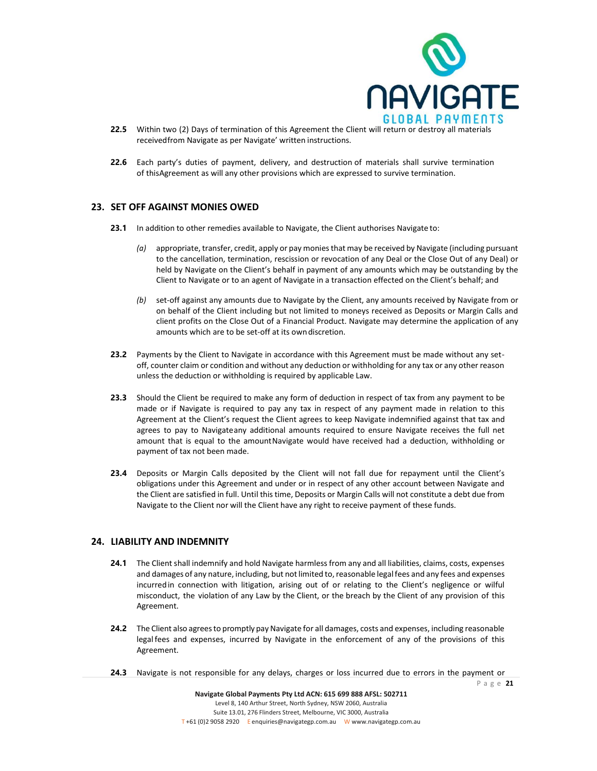

- **22.5** Within two (2) Days of termination of this Agreement the Client will return or destroy all materials receivedfrom Navigate as per Navigate' written instructions.
- **22.6** Each party's duties of payment, delivery, and destruction of materials shall survive termination of thisAgreement as will any other provisions which are expressed to survive termination.

### **23. SET OFF AGAINST MONIES OWED**

- **23.1** In addition to other remedies available to Navigate, the Client authorises Navigate to:
	- *(a)* appropriate, transfer, credit, apply or pay monies that may be received by Navigate (including pursuant to the cancellation, termination, rescission or revocation of any Deal or the Close Out of any Deal) or held by Navigate on the Client's behalf in payment of any amounts which may be outstanding by the Client to Navigate or to an agent of Navigate in a transaction effected on the Client's behalf; and
	- *(b)* set-off against any amounts due to Navigate by the Client, any amounts received by Navigate from or on behalf of the Client including but not limited to moneys received as Deposits or Margin Calls and client profits on the Close Out of a Financial Product. Navigate may determine the application of any amounts which are to be set-off at its owndiscretion.
- **23.2** Payments by the Client to Navigate in accordance with this Agreement must be made without any setoff, counter claim or condition and without any deduction or withholding for any tax or any other reason unless the deduction or withholding is required by applicable Law.
- **23.3** Should the Client be required to make any form of deduction in respect of tax from any payment to be made or if Navigate is required to pay any tax in respect of any payment made in relation to this Agreement at the Client's request the Client agrees to keep Navigate indemnified against that tax and agrees to pay to Navigateany additional amounts required to ensure Navigate receives the full net amount that is equal to the amountNavigate would have received had a deduction, withholding or payment of tax not been made.
- **23.4** Deposits or Margin Calls deposited by the Client will not fall due for repayment until the Client's obligations under this Agreement and under or in respect of any other account between Navigate and the Client are satisfied in full. Until this time, Deposits or Margin Calls will not constitute a debt due from Navigate to the Client nor will the Client have any right to receive payment of these funds.

### **24. LIABILITY AND INDEMNITY**

- **24.1** The Client shall indemnify and hold Navigate harmless from any and all liabilities, claims, costs, expenses and damages of any nature, including, but not limited to, reasonable legal fees and any fees and expenses incurredin connection with litigation, arising out of or relating to the Client's negligence or wilful misconduct, the violation of any Law by the Client, or the breach by the Client of any provision of this Agreement.
- **24.2** The Client also agrees to promptly pay Navigate for all damages, costs and expenses, including reasonable legal fees and expenses, incurred by Navigate in the enforcement of any of the provisions of this Agreement.
- **24.3** Navigate is not responsible for any delays, charges or loss incurred due to errors in the payment or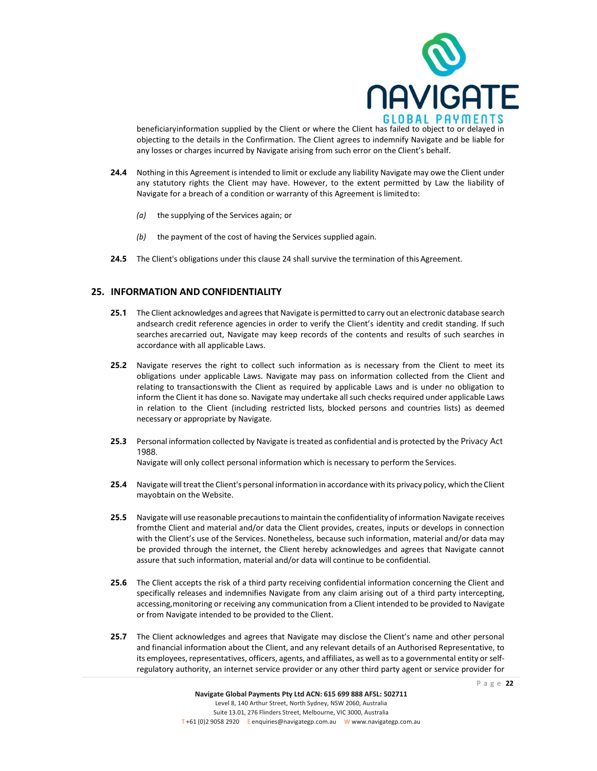

beneficiaryinformation supplied by the Client or where the Client has failed to object to or delayed in objecting to the details in the Confirmation. The Client agrees to indemnify Navigate and be liable for any losses or charges incurred by Navigate arising from such error on the Client's behalf.

- **24.4** Nothing in this Agreement is intended to limit or exclude any liability Navigate may owe the Client under any statutory rights the Client may have. However, to the extent permitted by Law the liability of Navigate for a breach of a condition or warranty of this Agreement is limitedto:
	- *(a)* the supplying of the Services again; or
	- *(b)* the payment of the cost of having the Services supplied again.
- **24.5** The Client's obligations under this clause 24 shall survive the termination of this Agreement.

### **25. INFORMATION AND CONFIDENTIALITY**

- **25.1** The Client acknowledges and agrees that Navigate is permitted to carry out an electronic database search andsearch credit reference agencies in order to verify the Client's identity and credit standing. If such searches arecarried out, Navigate may keep records of the contents and results of such searches in accordance with all applicable Laws.
- **25.2** Navigate reserves the right to collect such information as is necessary from the Client to meet its obligations under applicable Laws. Navigate may pass on information collected from the Client and relating to transactionswith the Client as required by applicable Laws and is under no obligation to inform the Client it has done so. Navigate may undertake all such checks required under applicable Laws in relation to the Client (including restricted lists, blocked persons and countries lists) as deemed necessary or appropriate by Navigate.
- **25.3** Personal information collected by Navigate istreated as confidential and is protected by the Privacy Act 1988.

Navigate will only collect personal information which is necessary to perform the Services.

- **25.4** Navigate will treat the Client's personal information in accordance with its privacy policy, which the Client mayobtain on the Website.
- **25.5** Navigate will use reasonable precautions to maintain the confidentiality of information Navigate receives fromthe Client and material and/or data the Client provides, creates, inputs or develops in connection with the Client's use of the Services. Nonetheless, because such information, material and/or data may be provided through the internet, the Client hereby acknowledges and agrees that Navigate cannot assure that such information, material and/or data will continue to be confidential.
- **25.6** The Client accepts the risk of a third party receiving confidential information concerning the Client and specifically releases and indemnifies Navigate from any claim arising out of a third party intercepting, accessing,monitoring or receiving any communication from a Client intended to be provided to Navigate or from Navigate intended to be provided to the Client.
- 25.7 The Client acknowledges and agrees that Navigate may disclose the Client's name and other personal and financial information about the Client, and any relevant details of an Authorised Representative, to its employees, representatives, officers, agents, and affiliates, as well asto a governmental entity or selfregulatory authority, an internet service provider or any other third party agent or service provider for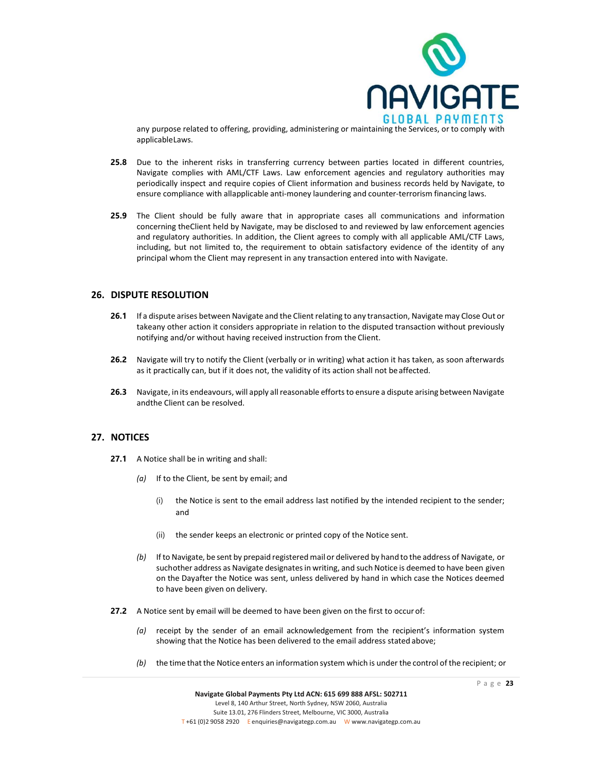

any purpose related to offering, providing, administering or maintaining the Services, or to comply with applicableLaws.

- **25.8** Due to the inherent risks in transferring currency between parties located in different countries, Navigate complies with AML/CTF Laws. Law enforcement agencies and regulatory authorities may periodically inspect and require copies of Client information and business records held by Navigate, to ensure compliance with allapplicable anti-money laundering and counter-terrorism financing laws.
- **25.9** The Client should be fully aware that in appropriate cases all communications and information concerning theClient held by Navigate, may be disclosed to and reviewed by law enforcement agencies and regulatory authorities. In addition, the Client agrees to comply with all applicable AML/CTF Laws, including, but not limited to, the requirement to obtain satisfactory evidence of the identity of any principal whom the Client may represent in any transaction entered into with Navigate.

### **26. DISPUTE RESOLUTION**

- **26.1** If a dispute arises between Navigate and the Client relating to any transaction, Navigate may Close Out or takeany other action it considers appropriate in relation to the disputed transaction without previously notifying and/or without having received instruction from the Client.
- **26.2** Navigate will try to notify the Client (verbally or in writing) what action it has taken, as soon afterwards as it practically can, but if it does not, the validity of its action shall not be affected.
- **26.3** Navigate, in its endeavours, will apply all reasonable efforts to ensure a dispute arising between Navigate andthe Client can be resolved.

### **27. NOTICES**

- **27.1** A Notice shall be in writing and shall:
	- *(a)* If to the Client, be sent by email; and
		- (i) the Notice is sent to the email address last notified by the intended recipient to the sender; and
		- (ii) the sender keeps an electronic or printed copy of the Notice sent.
	- *(b)* If to Navigate, be sent by prepaid registered mail or delivered by hand to the address of Navigate, or suchother address as Navigate designatesin writing, and such Notice is deemed to have been given on the Dayafter the Notice was sent, unless delivered by hand in which case the Notices deemed to have been given on delivery.
- **27.2** A Notice sent by email will be deemed to have been given on the first to occur of:
	- *(a)* receipt by the sender of an email acknowledgement from the recipient's information system showing that the Notice has been delivered to the email address stated above;
	- *(b)* the time thatthe Notice enters an information system which is under the control of the recipient; or